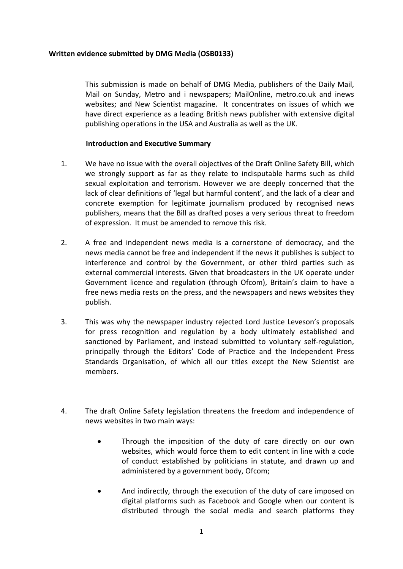### **Written evidence submitted by DMG Media (OSB0133)**

This submission is made on behalf of DMG Media, publishers of the Daily Mail, Mail on Sunday, Metro and i newspapers; MailOnline, metro.co.uk and inews websites; and New Scientist magazine. It concentrates on issues of which we have direct experience as a leading British news publisher with extensive digital publishing operations in the USA and Australia as well as the UK.

### **Introduction and Executive Summary**

- 1. We have no issue with the overall objectives of the Draft Online Safety Bill, which we strongly support as far as they relate to indisputable harms such as child sexual exploitation and terrorism. However we are deeply concerned that the lack of clear definitions of 'legal but harmful content', and the lack of a clear and concrete exemption for legitimate journalism produced by recognised news publishers, means that the Bill as drafted poses a very serious threat to freedom of expression. It must be amended to remove this risk.
- 2. A free and independent news media is a cornerstone of democracy, and the news media cannot be free and independent if the news it publishes is subject to interference and control by the Government, or other third parties such as external commercial interests. Given that broadcasters in the UK operate under Government licence and regulation (through Ofcom), Britain's claim to have a free news media rests on the press, and the newspapers and news websites they publish.
- 3. This was why the newspaper industry rejected Lord Justice Leveson's proposals for press recognition and regulation by a body ultimately established and sanctioned by Parliament, and instead submitted to voluntary self-regulation, principally through the Editors' Code of Practice and the Independent Press Standards Organisation, of which all our titles except the New Scientist are members.
- 4. The draft Online Safety legislation threatens the freedom and independence of news websites in two main ways:
	- Through the imposition of the duty of care directly on our own websites, which would force them to edit content in line with a code of conduct established by politicians in statute, and drawn up and administered by a government body, Ofcom;
	- And indirectly, through the execution of the duty of care imposed on digital platforms such as Facebook and Google when our content is distributed through the social media and search platforms they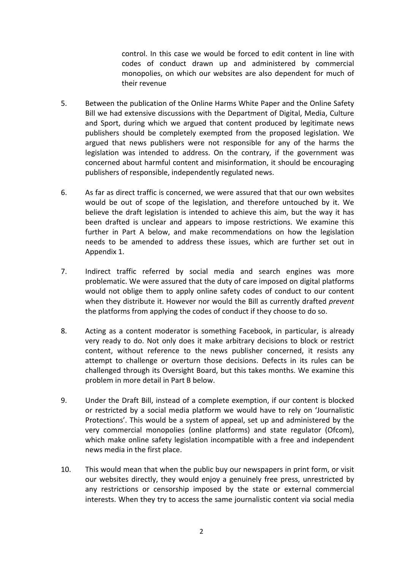control. In this case we would be forced to edit content in line with codes of conduct drawn up and administered by commercial monopolies, on which our websites are also dependent for much of their revenue

- 5. Between the publication of the Online Harms White Paper and the Online Safety Bill we had extensive discussions with the Department of Digital, Media, Culture and Sport, during which we argued that content produced by legitimate news publishers should be completely exempted from the proposed legislation. We argued that news publishers were not responsible for any of the harms the legislation was intended to address. On the contrary, if the government was concerned about harmful content and misinformation, it should be encouraging publishers of responsible, independently regulated news.
- 6. As far as direct traffic is concerned, we were assured that that our own websites would be out of scope of the legislation, and therefore untouched by it. We believe the draft legislation is intended to achieve this aim, but the way it has been drafted is unclear and appears to impose restrictions. We examine this further in Part A below, and make recommendations on how the legislation needs to be amended to address these issues, which are further set out in Appendix 1.
- 7. Indirect traffic referred by social media and search engines was more problematic. We were assured that the duty of care imposed on digital platforms would not oblige them to apply online safety codes of conduct to our content when they distribute it. However nor would the Bill as currently drafted *prevent* the platforms from applying the codes of conduct if they choose to do so.
- 8. Acting as a content moderator is something Facebook, in particular, is already very ready to do. Not only does it make arbitrary decisions to block or restrict content, without reference to the news publisher concerned, it resists any attempt to challenge or overturn those decisions. Defects in its rules can be challenged through its Oversight Board, but this takes months. We examine this problem in more detail in Part B below.
- 9. Under the Draft Bill, instead of a complete exemption, if our content is blocked or restricted by a social media platform we would have to rely on 'Journalistic Protections'. This would be a system of appeal, set up and administered by the very commercial monopolies (online platforms) and state regulator (Ofcom), which make online safety legislation incompatible with a free and independent news media in the first place.
- 10. This would mean that when the public buy our newspapers in print form, or visit our websites directly, they would enjoy a genuinely free press, unrestricted by any restrictions or censorship imposed by the state or external commercial interests. When they try to access the same journalistic content via social media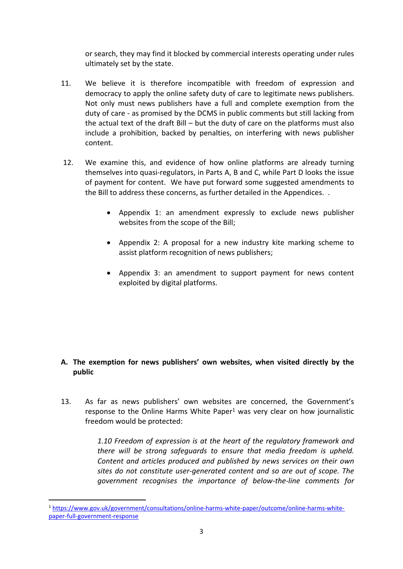or search, they may find it blocked by commercial interests operating under rules ultimately set by the state.

- 11. We believe it is therefore incompatible with freedom of expression and democracy to apply the online safety duty of care to legitimate news publishers. Not only must news publishers have a full and complete exemption from the duty of care - as promised by the DCMS in public comments but still lacking from the actual text of the draft Bill – but the duty of care on the platforms must also include a prohibition, backed by penalties, on interfering with news publisher content.
- 12. We examine this, and evidence of how online platforms are already turning themselves into quasi-regulators, in Parts A, B and C, while Part D looks the issue of payment for content. We have put forward some suggested amendments to the Bill to address these concerns, as further detailed in the Appendices. .
	- Appendix 1: an amendment expressly to exclude news publisher websites from the scope of the Bill;
	- Appendix 2: A proposal for a new industry kite marking scheme to assist platform recognition of news publishers;
	- Appendix 3: an amendment to support payment for news content exploited by digital platforms.

## **A. The exemption for news publishers' own websites, when visited directly by the public**

13. As far as news publishers' own websites are concerned, the Government's response to the Online Harms White Paper $1$  was very clear on how journalistic freedom would be protected:

> *1.10 Freedom of expression is at the heart of the regulatory framework and there will be strong safeguards to ensure that media freedom is upheld. Content and articles produced and published by news services on their own sites do not constitute user-generated content and so are out of scope. The government recognises the importance of below-the-line comments for*

<sup>1</sup> [https://www.gov.uk/government/consultations/online-harms-white-paper/outcome/online-harms-white](https://www.gov.uk/government/consultations/online-harms-white-paper/outcome/online-harms-white-paper-full-government-response)[paper-full-government-response](https://www.gov.uk/government/consultations/online-harms-white-paper/outcome/online-harms-white-paper-full-government-response)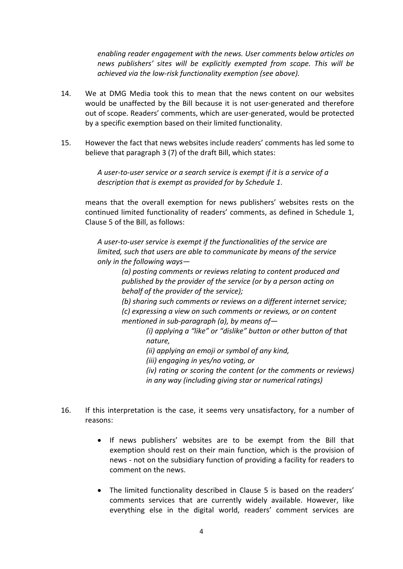*enabling reader engagement with the news. User comments below articles on news publishers' sites will be explicitly exempted from scope. This will be achieved via the low-risk functionality exemption (see above).*

- 14. We at DMG Media took this to mean that the news content on our websites would be unaffected by the Bill because it is not user-generated and therefore out of scope. Readers' comments, which are user-generated, would be protected by a specific exemption based on their limited functionality.
- 15. However the fact that news websites include readers' comments has led some to believe that paragraph 3 (7) of the draft Bill, which states:

*A user-to-user service or a search service is exempt if it is a service of a description that is exempt as provided for by Schedule 1*.

means that the overall exemption for news publishers' websites rests on the continued limited functionality of readers' comments, as defined in Schedule 1, Clause 5 of the Bill, as follows:

*A user-to-user service is exempt if the functionalities of the service are limited, such that users are able to communicate by means of the service only in the following ways—*

> *(a) posting comments or reviews relating to content produced and published by the provider of the service (or by a person acting on behalf of the provider of the service);*

*(b) sharing such comments or reviews on a different internet service; (c) expressing a view on such comments or reviews, or on content mentioned in sub-paragraph (a), by means of—*

> *(i) applying a "like" or "dislike" button or other button of that nature,*

*(ii) applying an emoji or symbol of any kind,*

*(iii) engaging in yes/no voting, or*

*(iv) rating or scoring the content (or the comments or reviews) in any way (including giving star or numerical ratings)*

- 16. If this interpretation is the case, it seems very unsatisfactory, for a number of reasons:
	- If news publishers' websites are to be exempt from the Bill that exemption should rest on their main function, which is the provision of news - not on the subsidiary function of providing a facility for readers to comment on the news.
	- The limited functionality described in Clause 5 is based on the readers' comments services that are currently widely available. However, like everything else in the digital world, readers' comment services are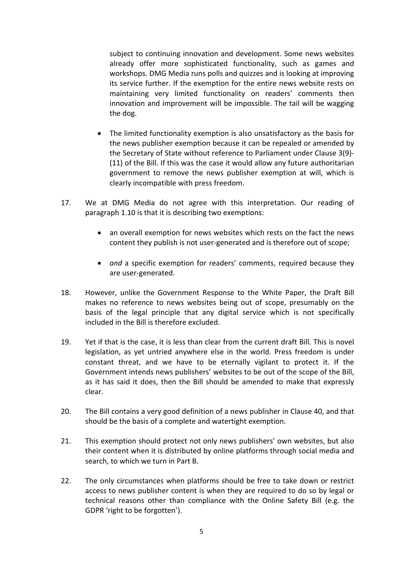subject to continuing innovation and development. Some news websites already offer more sophisticated functionality, such as games and workshops. DMG Media runs polls and quizzes and is looking at improving its service further. If the exemption for the entire news website rests on maintaining very limited functionality on readers' comments then innovation and improvement will be impossible. The tail will be wagging the dog.

- The limited functionality exemption is also unsatisfactory as the basis for the news publisher exemption because it can be repealed or amended by the Secretary of State without reference to Parliament under Clause 3(9)- (11) of the Bill. If this was the case it would allow any future authoritarian government to remove the news publisher exemption at will, which is clearly incompatible with press freedom.
- 17. We at DMG Media do not agree with this interpretation. Our reading of paragraph 1.10 is that it is describing two exemptions:
	- an overall exemption for news websites which rests on the fact the news content they publish is not user-generated and is therefore out of scope;
	- *and* a specific exemption for readers' comments, required because they are user-generated.
- 18. However, unlike the Government Response to the White Paper, the Draft Bill makes no reference to news websites being out of scope, presumably on the basis of the legal principle that any digital service which is not specifically included in the Bill is therefore excluded.
- 19. Yet if that is the case, it is less than clear from the current draft Bill. This is novel legislation, as yet untried anywhere else in the world. Press freedom is under constant threat, and we have to be eternally vigilant to protect it. If the Government intends news publishers' websites to be out of the scope of the Bill, as it has said it does, then the Bill should be amended to make that expressly clear.
- 20. The Bill contains a very good definition of a news publisher in Clause 40, and that should be the basis of a complete and watertight exemption.
- 21. This exemption should protect not only news publishers' own websites, but also their content when it is distributed by online platforms through social media and search, to which we turn in Part B.
- 22. The only circumstances when platforms should be free to take down or restrict access to news publisher content is when they are required to do so by legal or technical reasons other than compliance with the Online Safety Bill (e.g. the GDPR 'right to be forgotten').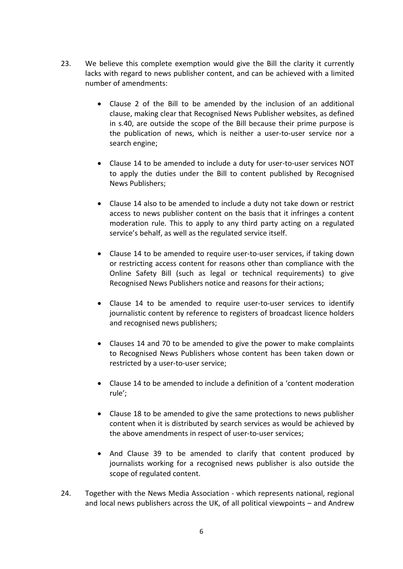- 23. We believe this complete exemption would give the Bill the clarity it currently lacks with regard to news publisher content, and can be achieved with a limited number of amendments:
	- Clause 2 of the Bill to be amended by the inclusion of an additional clause, making clear that Recognised News Publisher websites, as defined in s.40, are outside the scope of the Bill because their prime purpose is the publication of news, which is neither a user-to-user service nor a search engine;
	- Clause 14 to be amended to include a duty for user-to-user services NOT to apply the duties under the Bill to content published by Recognised News Publishers;
	- Clause 14 also to be amended to include a duty not take down or restrict access to news publisher content on the basis that it infringes a content moderation rule. This to apply to any third party acting on a regulated service's behalf, as well as the regulated service itself.
	- Clause 14 to be amended to require user-to-user services, if taking down or restricting access content for reasons other than compliance with the Online Safety Bill (such as legal or technical requirements) to give Recognised News Publishers notice and reasons for their actions;
	- Clause 14 to be amended to require user-to-user services to identify journalistic content by reference to registers of broadcast licence holders and recognised news publishers;
	- Clauses 14 and 70 to be amended to give the power to make complaints to Recognised News Publishers whose content has been taken down or restricted by a user-to-user service;
	- Clause 14 to be amended to include a definition of a 'content moderation rule';
	- Clause 18 to be amended to give the same protections to news publisher content when it is distributed by search services as would be achieved by the above amendments in respect of user-to-user services;
	- And Clause 39 to be amended to clarify that content produced by journalists working for a recognised news publisher is also outside the scope of regulated content.
- 24. Together with the News Media Association which represents national, regional and local news publishers across the UK, of all political viewpoints – and Andrew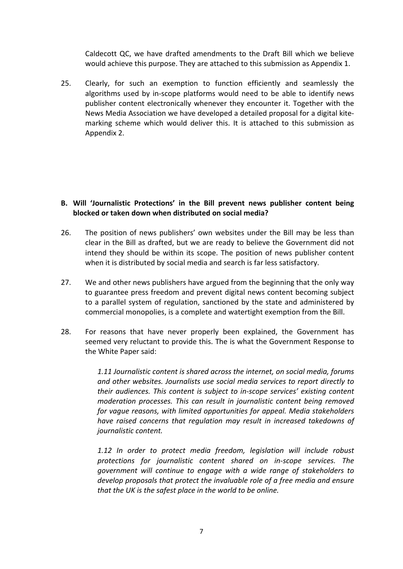Caldecott QC, we have drafted amendments to the Draft Bill which we believe would achieve this purpose. They are attached to this submission as Appendix 1.

25. Clearly, for such an exemption to function efficiently and seamlessly the algorithms used by in-scope platforms would need to be able to identify news publisher content electronically whenever they encounter it. Together with the News Media Association we have developed a detailed proposal for a digital kitemarking scheme which would deliver this. It is attached to this submission as Appendix 2.

## **B. Will 'Journalistic Protections' in the Bill prevent news publisher content being blocked or taken down when distributed on social media?**

- 26. The position of news publishers' own websites under the Bill may be less than clear in the Bill as drafted, but we are ready to believe the Government did not intend they should be within its scope. The position of news publisher content when it is distributed by social media and search is far less satisfactory.
- 27. We and other news publishers have argued from the beginning that the only way to guarantee press freedom and prevent digital news content becoming subject to a parallel system of regulation, sanctioned by the state and administered by commercial monopolies, is a complete and watertight exemption from the Bill.
- 28. For reasons that have never properly been explained, the Government has seemed very reluctant to provide this. The is what the Government Response to the White Paper said:

*1.11 Journalistic content is shared across the internet, on social media, forums and other websites. Journalists use social media services to report directly to their audiences. This content is subject to in-scope services' existing content moderation processes. This can result in journalistic content being removed for vague reasons, with limited opportunities for appeal. Media stakeholders have raised concerns that regulation may result in increased takedowns of journalistic content.*

*1.12 In order to protect media freedom, legislation will include robust protections for journalistic content shared on in-scope services. The government will continue to engage with a wide range of stakeholders to develop proposals that protect the invaluable role of a free media and ensure that the UK is the safest place in the world to be online.*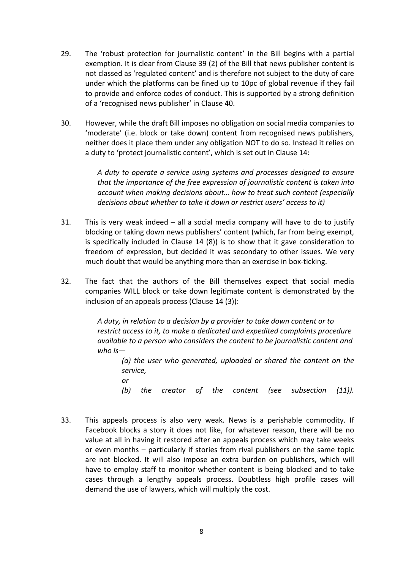- 29. The 'robust protection for journalistic content' in the Bill begins with a partial exemption. It is clear from Clause 39 (2) of the Bill that news publisher content is not classed as 'regulated content' and is therefore not subject to the duty of care under which the platforms can be fined up to 10pc of global revenue if they fail to provide and enforce codes of conduct. This is supported by a strong definition of a 'recognised news publisher' in Clause 40.
- 30. However, while the draft Bill imposes no obligation on social media companies to 'moderate' (i.e. block or take down) content from recognised news publishers, neither does it place them under any obligation NOT to do so. Instead it relies on a duty to 'protect journalistic content', which is set out in Clause 14:

*A duty to operate a service using systems and processes designed to ensure that the importance of the free expression of journalistic content is taken into account when making decisions about… how to treat such content (especially decisions about whether to take it down or restrict users' access to it)*

- 31. This is very weak indeed all a social media company will have to do to justify blocking or taking down news publishers' content (which, far from being exempt, is specifically included in Clause 14 (8)) is to show that it gave consideration to freedom of expression, but decided it was secondary to other issues. We very much doubt that would be anything more than an exercise in box-ticking.
- 32. The fact that the authors of the Bill themselves expect that social media companies WILL block or take down legitimate content is demonstrated by the inclusion of an appeals process (Clause 14 (3)):

*A duty, in relation to a decision by a provider to take down content or to restrict access to it, to make a dedicated and expedited complaints procedure available to a person who considers the content to be journalistic content and who is—*

*(a) the user who generated, uploaded or shared the content on the service,*

*or*

*(b) the creator of the content (see subsection (11)).*

33. This appeals process is also very weak. News is a perishable commodity. If Facebook blocks a story it does not like, for whatever reason, there will be no value at all in having it restored after an appeals process which may take weeks or even months – particularly if stories from rival publishers on the same topic are not blocked. It will also impose an extra burden on publishers, which will have to employ staff to monitor whether content is being blocked and to take cases through a lengthy appeals process. Doubtless high profile cases will demand the use of lawyers, which will multiply the cost.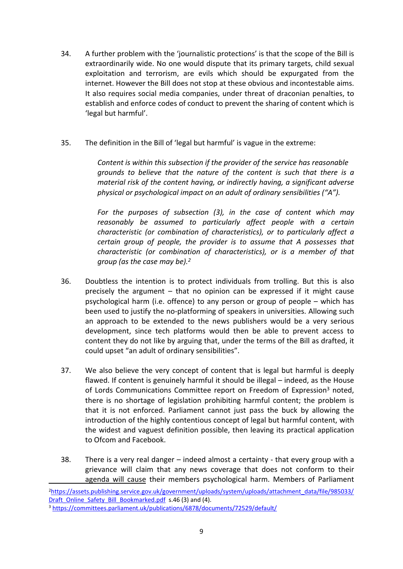- 34. A further problem with the 'journalistic protections' is that the scope of the Bill is extraordinarily wide. No one would dispute that its primary targets, child sexual exploitation and terrorism, are evils which should be expurgated from the internet. However the Bill does not stop at these obvious and incontestable aims. It also requires social media companies, under threat of draconian penalties, to establish and enforce codes of conduct to prevent the sharing of content which is 'legal but harmful'.
- 35. The definition in the Bill of 'legal but harmful' is vague in the extreme:

*Content is within this subsection if the provider of the service has reasonable grounds to believe that the nature of the content is such that there is a material risk of the content having, or indirectly having, a significant adverse physical or psychological impact on an adult of ordinary sensibilities ("A").*

*For the purposes of subsection (3), in the case of content which may reasonably be assumed to particularly affect people with a certain characteristic (or combination of characteristics), or to particularly affect a certain group of people, the provider is to assume that A possesses that characteristic (or combination of characteristics), or is a member of that group (as the case may be).<sup>2</sup>*

- 36. Doubtless the intention is to protect individuals from trolling. But this is also precisely the argument – that no opinion can be expressed if it might cause psychological harm (i.e. offence) to any person or group of people – which has been used to justify the no-platforming of speakers in universities. Allowing such an approach to be extended to the news publishers would be a very serious development, since tech platforms would then be able to prevent access to content they do not like by arguing that, under the terms of the Bill as drafted, it could upset "an adult of ordinary sensibilities".
- 37. We also believe the very concept of content that is legal but harmful is deeply flawed. If content is genuinely harmful it should be illegal – indeed, as the House of Lords Communications Committee report on Freedom of Expression<sup>3</sup> noted, there is no shortage of legislation prohibiting harmful content; the problem is that it is not enforced. Parliament cannot just pass the buck by allowing the introduction of the highly contentious concept of legal but harmful content, with the widest and vaguest definition possible, then leaving its practical application to Ofcom and Facebook.
- 38. There is a very real danger indeed almost a certainty that every group with a grievance will claim that any news coverage that does not conform to their agenda will cause their members psychological harm. Members of Parliament

<sup>&</sup>lt;sup>2</sup>[https://assets.publishing.service.gov.uk/government/uploads/system/uploads/attachment\\_data/file/985033/](https://assets.publishing.service.gov.uk/government/uploads/system/uploads/attachment_data/file/985033/Draft_Online_Safety_Bill_Bookmarked.pdf) [Draft\\_Online\\_Safety\\_Bill\\_Bookmarked.pdf](https://assets.publishing.service.gov.uk/government/uploads/system/uploads/attachment_data/file/985033/Draft_Online_Safety_Bill_Bookmarked.pdf) s.46 (3) and (4).

<sup>3</sup> <https://committees.parliament.uk/publications/6878/documents/72529/default/>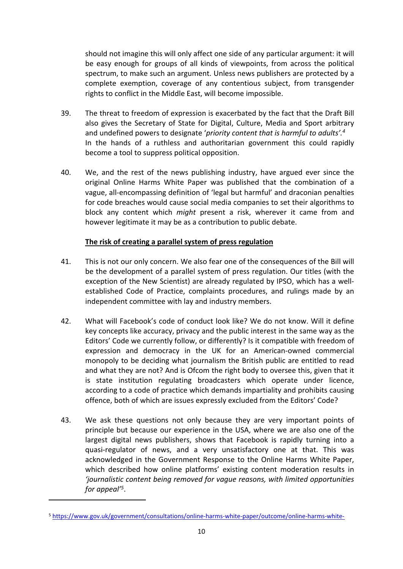should not imagine this will only affect one side of any particular argument: it will be easy enough for groups of all kinds of viewpoints, from across the political spectrum, to make such an argument. Unless news publishers are protected by a complete exemption, coverage of any contentious subject, from transgender rights to conflict in the Middle East, will become impossible.

- 39. The threat to freedom of expression is exacerbated by the fact that the Draft Bill also gives the Secretary of State for Digital, Culture, Media and Sport arbitrary and undefined powers to designate '*priority content that is harmful to adults'.<sup>4</sup>* In the hands of a ruthless and authoritarian government this could rapidly become a tool to suppress political opposition.
- 40. We, and the rest of the news publishing industry, have argued ever since the original Online Harms White Paper was published that the combination of a vague, all-encompassing definition of 'legal but harmful' and draconian penalties for code breaches would cause social media companies to set their algorithms to block any content which *might* present a risk, wherever it came from and however legitimate it may be as a contribution to public debate.

### **The risk of creating a parallel system of press regulation**

- 41. This is not our only concern. We also fear one of the consequences of the Bill will be the development of a parallel system of press regulation. Our titles (with the exception of the New Scientist) are already regulated by IPSO, which has a wellestablished Code of Practice, complaints procedures, and rulings made by an independent committee with lay and industry members.
- 42. What will Facebook's code of conduct look like? We do not know. Will it define key concepts like accuracy, privacy and the public interest in the same way as the Editors' Code we currently follow, or differently? Is it compatible with freedom of expression and democracy in the UK for an American-owned commercial monopoly to be deciding what journalism the British public are entitled to read and what they are not? And is Ofcom the right body to oversee this, given that it is state institution regulating broadcasters which operate under licence, according to a code of practice which demands impartiality and prohibits causing offence, both of which are issues expressly excluded from the Editors' Code?
- 43. We ask these questions not only because they are very important points of principle but because our experience in the USA, where we are also one of the largest digital news publishers, shows that Facebook is rapidly turning into a quasi-regulator of news, and a very unsatisfactory one at that. This was acknowledged in the Government Response to the Online Harms White Paper, which described how online platforms' existing content moderation results in *'journalistic content being removed for vague reasons, with limited opportunities for appeal'<sup>5</sup>* .

<sup>5</sup> [https://www.gov.uk/government/consultations/online-harms-white-paper/outcome/online-harms-white-](https://www.gov.uk/government/consultations/online-harms-white-paper/outcome/online-harms-white-paper-full-government-response)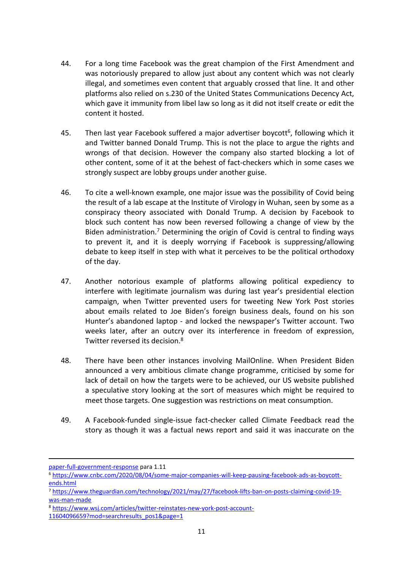- 44. For a long time Facebook was the great champion of the First Amendment and was notoriously prepared to allow just about any content which was not clearly illegal, and sometimes even content that arguably crossed that line. It and other platforms also relied on s.230 of the United States Communications Decency Act, which gave it immunity from libel law so long as it did not itself create or edit the content it hosted.
- 45. Then last year Facebook suffered a major advertiser boycott<sup>6</sup>, following which it and Twitter banned Donald Trump. This is not the place to argue the rights and wrongs of that decision. However the company also started blocking a lot of other content, some of it at the behest of fact-checkers which in some cases we strongly suspect are lobby groups under another guise.
- 46. To cite a well-known example, one major issue was the possibility of Covid being the result of a lab escape at the Institute of Virology in Wuhan, seen by some as a conspiracy theory associated with Donald Trump. A decision by Facebook to block such content has now been reversed following a change of view by the Biden administration.<sup>7</sup> Determining the origin of Covid is central to finding ways to prevent it, and it is deeply worrying if Facebook is suppressing/allowing debate to keep itself in step with what it perceives to be the political orthodoxy of the day.
- 47. Another notorious example of platforms allowing political expediency to interfere with legitimate journalism was during last year's presidential election campaign, when Twitter prevented users for tweeting New York Post stories about emails related to Joe Biden's foreign business deals, found on his son Hunter's abandoned laptop - and locked the newspaper's Twitter account. Two weeks later, after an outcry over its interference in freedom of expression, Twitter reversed its decision.<sup>8</sup>
- 48. There have been other instances involving MailOnline. When President Biden announced a very ambitious climate change programme, criticised by some for lack of detail on how the targets were to be achieved, our US website published a speculative story looking at the sort of measures which might be required to meet those targets. One suggestion was restrictions on meat consumption.
- 49. A Facebook-funded single-issue fact-checker called Climate Feedback read the story as though it was a factual news report and said it was inaccurate on the

[paper-full-government-response](https://www.gov.uk/government/consultations/online-harms-white-paper/outcome/online-harms-white-paper-full-government-response) para 1.11

<sup>6</sup> [https://www.cnbc.com/2020/08/04/some-major-companies-will-keep-pausing-facebook-ads-as-boycott](https://www.cnbc.com/2020/08/04/some-major-companies-will-keep-pausing-facebook-ads-as-boycott-ends.html)[ends.html](https://www.cnbc.com/2020/08/04/some-major-companies-will-keep-pausing-facebook-ads-as-boycott-ends.html)

<sup>7</sup> [https://www.theguardian.com/technology/2021/may/27/facebook-lifts-ban-on-posts-claiming-covid-19](https://www.theguardian.com/technology/2021/may/27/facebook-lifts-ban-on-posts-claiming-covid-19-was-man-made) [was-man-made](https://www.theguardian.com/technology/2021/may/27/facebook-lifts-ban-on-posts-claiming-covid-19-was-man-made)

<sup>8</sup> [https://www.wsj.com/articles/twitter-reinstates-new-york-post-account-](https://www.wsj.com/articles/twitter-reinstates-new-york-post-account-11604096659?mod=searchresults_pos1&page=1)

[<sup>11604096659?</sup>mod=searchresults\\_pos1&page=1](https://www.wsj.com/articles/twitter-reinstates-new-york-post-account-11604096659?mod=searchresults_pos1&page=1)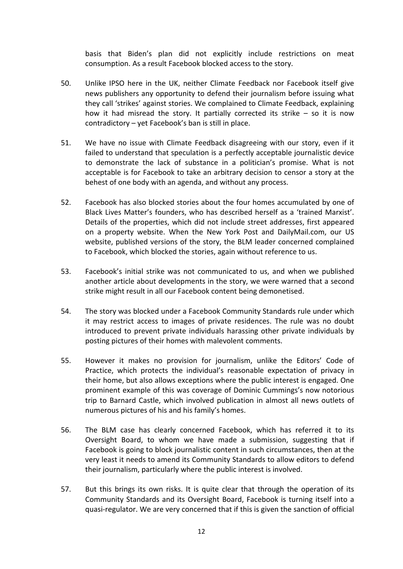basis that Biden's plan did not explicitly include restrictions on meat consumption. As a result Facebook blocked access to the story.

- 50. Unlike IPSO here in the UK, neither Climate Feedback nor Facebook itself give news publishers any opportunity to defend their journalism before issuing what they call 'strikes' against stories. We complained to Climate Feedback, explaining how it had misread the story. It partially corrected its strike – so it is now contradictory – yet Facebook's ban is still in place.
- 51. We have no issue with Climate Feedback disagreeing with our story, even if it failed to understand that speculation is a perfectly acceptable journalistic device to demonstrate the lack of substance in a politician's promise. What is not acceptable is for Facebook to take an arbitrary decision to censor a story at the behest of one body with an agenda, and without any process.
- 52. Facebook has also blocked stories about the four homes accumulated by one of Black Lives Matter's founders, who has described herself as a 'trained Marxist'. Details of the properties, which did not include street addresses, first appeared on a property website. When the New York Post and DailyMail.com, our US website, published versions of the story, the BLM leader concerned complained to Facebook, which blocked the stories, again without reference to us.
- 53. Facebook's initial strike was not communicated to us, and when we published another article about developments in the story, we were warned that a second strike might result in all our Facebook content being demonetised.
- 54. The story was blocked under a Facebook Community Standards rule under which it may restrict access to images of private residences. The rule was no doubt introduced to prevent private individuals harassing other private individuals by posting pictures of their homes with malevolent comments.
- 55. However it makes no provision for journalism, unlike the Editors' Code of Practice, which protects the individual's reasonable expectation of privacy in their home, but also allows exceptions where the public interest is engaged. One prominent example of this was coverage of Dominic Cummings's now notorious trip to Barnard Castle, which involved publication in almost all news outlets of numerous pictures of his and his family's homes.
- 56. The BLM case has clearly concerned Facebook, which has referred it to its Oversight Board, to whom we have made a submission, suggesting that if Facebook is going to block journalistic content in such circumstances, then at the very least it needs to amend its Community Standards to allow editors to defend their journalism, particularly where the public interest is involved.
- 57. But this brings its own risks. It is quite clear that through the operation of its Community Standards and its Oversight Board, Facebook is turning itself into a quasi-regulator. We are very concerned that if this is given the sanction of official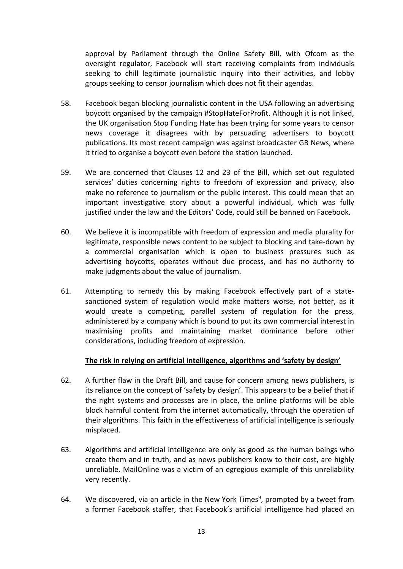approval by Parliament through the Online Safety Bill, with Ofcom as the oversight regulator, Facebook will start receiving complaints from individuals seeking to chill legitimate journalistic inquiry into their activities, and lobby groups seeking to censor journalism which does not fit their agendas.

- 58. Facebook began blocking journalistic content in the USA following an advertising boycott organised by the campaign #StopHateForProfit. Although it is not linked, the UK organisation Stop Funding Hate has been trying for some years to censor news coverage it disagrees with by persuading advertisers to boycott publications. Its most recent campaign was against broadcaster GB News, where it tried to organise a boycott even before the station launched.
- 59. We are concerned that Clauses 12 and 23 of the Bill, which set out regulated services' duties concerning rights to freedom of expression and privacy, also make no reference to journalism or the public interest. This could mean that an important investigative story about a powerful individual, which was fully justified under the law and the Editors' Code, could still be banned on Facebook.
- 60. We believe it is incompatible with freedom of expression and media plurality for legitimate, responsible news content to be subject to blocking and take-down by a commercial organisation which is open to business pressures such as advertising boycotts, operates without due process, and has no authority to make judgments about the value of journalism.
- 61. Attempting to remedy this by making Facebook effectively part of a statesanctioned system of regulation would make matters worse, not better, as it would create a competing, parallel system of regulation for the press, administered by a company which is bound to put its own commercial interest in maximising profits and maintaining market dominance before other considerations, including freedom of expression.

## **The risk in relying on artificial intelligence, algorithms and 'safety by design'**

- 62. A further flaw in the Draft Bill, and cause for concern among news publishers, is its reliance on the concept of 'safety by design'. This appears to be a belief that if the right systems and processes are in place, the online platforms will be able block harmful content from the internet automatically, through the operation of their algorithms. This faith in the effectiveness of artificial intelligence is seriously misplaced.
- 63. Algorithms and artificial intelligence are only as good as the human beings who create them and in truth, and as news publishers know to their cost, are highly unreliable. MailOnline was a victim of an egregious example of this unreliability very recently.
- 64. We discovered, via an article in the New York Times $9$ , prompted by a tweet from a former Facebook staffer, that Facebook's artificial intelligence had placed an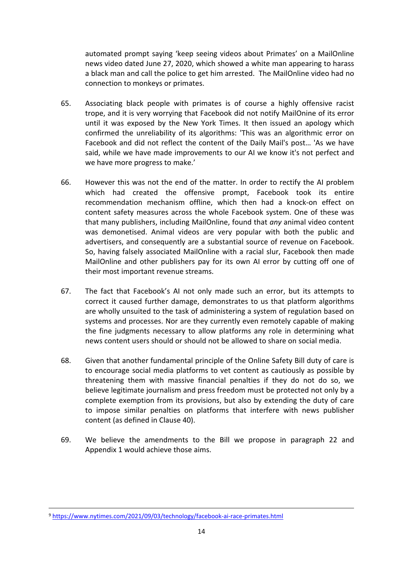automated prompt saying 'keep seeing videos about Primates' on a MailOnline news video dated June 27, 2020, which showed a white man appearing to harass a black man and call the police to get him arrested. The MailOnline video had no connection to monkeys or primates.

- 65. Associating black people with primates is of course a highly offensive racist trope, and it is very worrying that Facebook did not notify MailOnine of its error until it was exposed by the New York Times. It then issued an apology which confirmed the unreliability of its algorithms: 'This was an algorithmic error on Facebook and did not reflect the content of the Daily Mail's post… 'As we have said, while we have made improvements to our AI we know it's not perfect and we have more progress to make.'
- 66. However this was not the end of the matter. In order to rectify the AI problem which had created the offensive prompt, Facebook took its entire recommendation mechanism offline, which then had a knock-on effect on content safety measures across the whole Facebook system. One of these was that many publishers, including MailOnline, found that *any* animal video content was demonetised. Animal videos are very popular with both the public and advertisers, and consequently are a substantial source of revenue on Facebook. So, having falsely associated MailOnline with a racial slur, Facebook then made MailOnline and other publishers pay for its own AI error by cutting off one of their most important revenue streams.
- 67. The fact that Facebook's AI not only made such an error, but its attempts to correct it caused further damage, demonstrates to us that platform algorithms are wholly unsuited to the task of administering a system of regulation based on systems and processes. Nor are they currently even remotely capable of making the fine judgments necessary to allow platforms any role in determining what news content users should or should not be allowed to share on social media.
- 68. Given that another fundamental principle of the Online Safety Bill duty of care is to encourage social media platforms to vet content as cautiously as possible by threatening them with massive financial penalties if they do not do so, we believe legitimate journalism and press freedom must be protected not only by a complete exemption from its provisions, but also by extending the duty of care to impose similar penalties on platforms that interfere with news publisher content (as defined in Clause 40).
- 69. We believe the amendments to the Bill we propose in paragraph 22 and Appendix 1 would achieve those aims.

<sup>9</sup> <https://www.nytimes.com/2021/09/03/technology/facebook-ai-race-primates.html>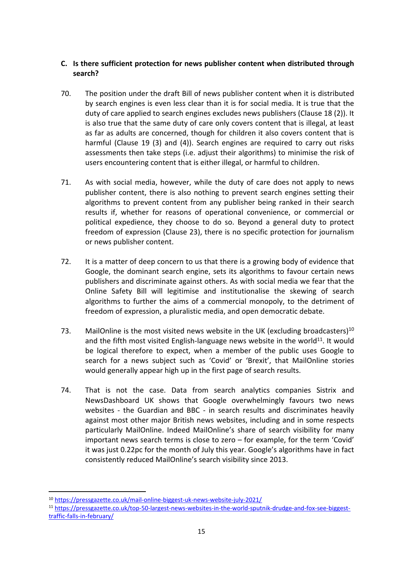## **C. Is there sufficient protection for news publisher content when distributed through search?**

- 70. The position under the draft Bill of news publisher content when it is distributed by search engines is even less clear than it is for social media. It is true that the duty of care applied to search engines excludes news publishers (Clause 18 (2)). It is also true that the same duty of care only covers content that is illegal, at least as far as adults are concerned, though for children it also covers content that is harmful (Clause 19 (3) and (4)). Search engines are required to carry out risks assessments then take steps (i.e. adjust their algorithms) to minimise the risk of users encountering content that is either illegal, or harmful to children.
- 71. As with social media, however, while the duty of care does not apply to news publisher content, there is also nothing to prevent search engines setting their algorithms to prevent content from any publisher being ranked in their search results if, whether for reasons of operational convenience, or commercial or political expedience, they choose to do so. Beyond a general duty to protect freedom of expression (Clause 23), there is no specific protection for journalism or news publisher content.
- 72. It is a matter of deep concern to us that there is a growing body of evidence that Google, the dominant search engine, sets its algorithms to favour certain news publishers and discriminate against others. As with social media we fear that the Online Safety Bill will legitimise and institutionalise the skewing of search algorithms to further the aims of a commercial monopoly, to the detriment of freedom of expression, a pluralistic media, and open democratic debate.
- 73. MailOnline is the most visited news website in the UK (excluding broadcasters)<sup>10</sup> and the fifth most visited English-language news website in the world<sup>11</sup>. It would be logical therefore to expect, when a member of the public uses Google to search for a news subject such as 'Covid' or 'Brexit', that MailOnline stories would generally appear high up in the first page of search results.
- 74. That is not the case. Data from search analytics companies Sistrix and NewsDashboard UK shows that Google overwhelmingly favours two news websites - the Guardian and BBC - in search results and discriminates heavily against most other major British news websites, including and in some respects particularly MailOnline. Indeed MailOnline's share of search visibility for many important news search terms is close to zero – for example, for the term 'Covid' it was just 0.22pc for the month of July this year. Google's algorithms have in fact consistently reduced MailOnline's search visibility since 2013.

<sup>10</sup> <https://pressgazette.co.uk/mail-online-biggest-uk-news-website-july-2021/>

<sup>11</sup> [https://pressgazette.co.uk/top-50-largest-news-websites-in-the-world-sputnik-drudge-and-fox-see-biggest](https://pressgazette.co.uk/top-50-largest-news-websites-in-the-world-sputnik-drudge-and-fox-see-biggest-traffic-falls-in-february/)[traffic-falls-in-february/](https://pressgazette.co.uk/top-50-largest-news-websites-in-the-world-sputnik-drudge-and-fox-see-biggest-traffic-falls-in-february/)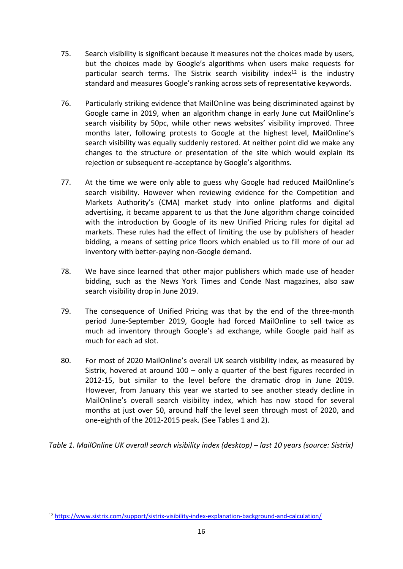- 75. Search visibility is significant because it measures not the choices made by users, but the choices made by Google's algorithms when users make requests for particular search terms. The Sistrix search visibility index<sup>12</sup> is the industry standard and measures Google's ranking across sets of representative keywords.
- 76. Particularly striking evidence that MailOnline was being discriminated against by Google came in 2019, when an algorithm change in early June cut MailOnline's search visibility by 50pc, while other news websites' visibility improved. Three months later, following protests to Google at the highest level, MailOnline's search visibility was equally suddenly restored. At neither point did we make any changes to the structure or presentation of the site which would explain its rejection or subsequent re-acceptance by Google's algorithms.
- 77. At the time we were only able to guess why Google had reduced MailOnline's search visibility. However when reviewing evidence for the Competition and Markets Authority's (CMA) market study into online platforms and digital advertising, it became apparent to us that the June algorithm change coincided with the introduction by Google of its new Unified Pricing rules for digital ad markets. These rules had the effect of limiting the use by publishers of header bidding, a means of setting price floors which enabled us to fill more of our ad inventory with better-paying non-Google demand.
- 78. We have since learned that other major publishers which made use of header bidding, such as the News York Times and Conde Nast magazines, also saw search visibility drop in June 2019.
- 79. The consequence of Unified Pricing was that by the end of the three-month period June-September 2019, Google had forced MailOnline to sell twice as much ad inventory through Google's ad exchange, while Google paid half as much for each ad slot.
- 80. For most of 2020 MailOnline's overall UK search visibility index, as measured by Sistrix, hovered at around 100 – only a quarter of the best figures recorded in 2012-15, but similar to the level before the dramatic drop in June 2019. However, from January this year we started to see another steady decline in MailOnline's overall search visibility index, which has now stood for several months at just over 50, around half the level seen through most of 2020, and one-eighth of the 2012-2015 peak. (See Tables 1 and 2).

*Table 1. MailOnline UK overall search visibility index (desktop) – last 10 years (source: Sistrix)*

<sup>12</sup> <https://www.sistrix.com/support/sistrix-visibility-index-explanation-background-and-calculation/>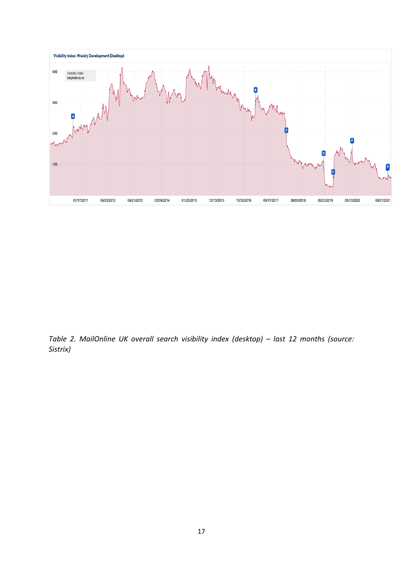

*Table 2. MailOnline UK overall search visibility index (desktop) – last 12 months (source: Sistrix)*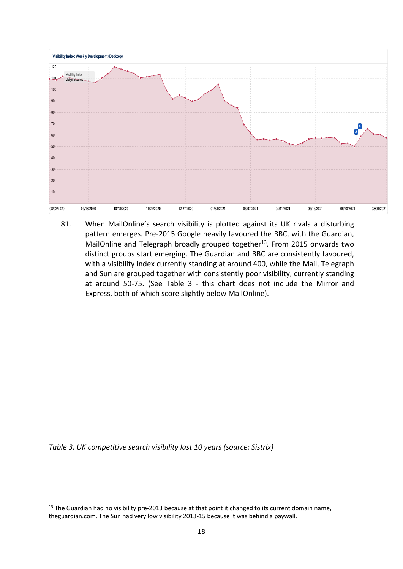

81. When MailOnline's search visibility is plotted against its UK rivals a disturbing pattern emerges. Pre-2015 Google heavily favoured the BBC, with the Guardian, MailOnline and Telegraph broadly grouped together<sup>13</sup>. From 2015 onwards two distinct groups start emerging. The Guardian and BBC are consistently favoured, with a visibility index currently standing at around 400, while the Mail, Telegraph and Sun are grouped together with consistently poor visibility, currently standing at around 50-75. (See Table 3 - this chart does not include the Mirror and Express, both of which score slightly below MailOnline).

*Table 3. UK competitive search visibility last 10 years (source: Sistrix)*

 $13$  The Guardian had no visibility pre-2013 because at that point it changed to its current domain name, theguardian.com. The Sun had very low visibility 2013-15 because it was behind a paywall.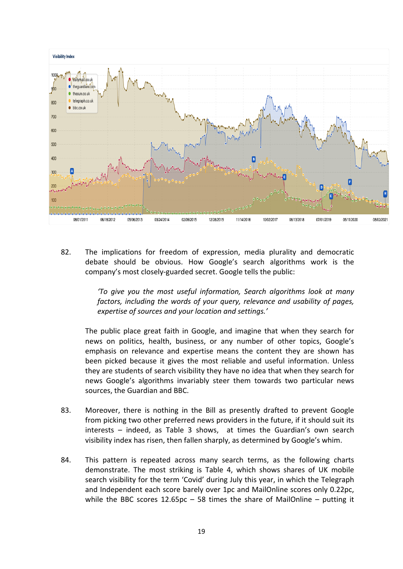

82. The implications for freedom of expression, media plurality and democratic debate should be obvious. How Google's search algorithms work is the company's most closely-guarded secret. Google tells the public:

> *'To give you the most useful information, Search algorithms look at many factors, including the words of your query, relevance and usability of pages, expertise of sources and your location and settings.'*

The public place great faith in Google, and imagine that when they search for news on politics, health, business, or any number of other topics, Google's emphasis on relevance and expertise means the content they are shown has been picked because it gives the most reliable and useful information. Unless they are students of search visibility they have no idea that when they search for news Google's algorithms invariably steer them towards two particular news sources, the Guardian and BBC.

- 83. Moreover, there is nothing in the Bill as presently drafted to prevent Google from picking two other preferred news providers in the future, if it should suit its interests – indeed, as Table 3 shows, at times the Guardian's own search visibility index has risen, then fallen sharply, as determined by Google's whim.
- 84. This pattern is repeated across many search terms, as the following charts demonstrate. The most striking is Table 4, which shows shares of UK mobile search visibility for the term 'Covid' during July this year, in which the Telegraph and Independent each score barely over 1pc and MailOnline scores only 0.22pc, while the BBC scores  $12.65pc - 58$  times the share of MailOnline – putting it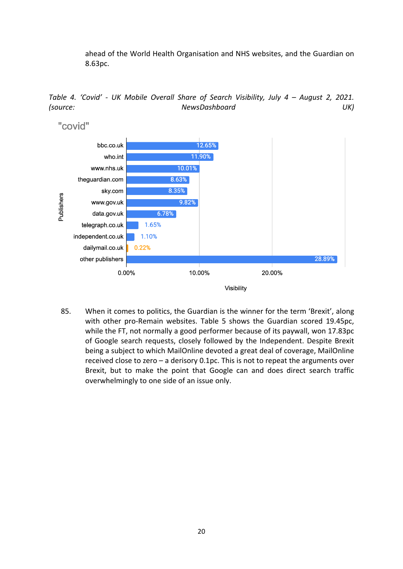ahead of the World Health Organisation and NHS websites, and the Guardian on 8.63pc.

*Table 4. 'Covid' - UK Mobile Overall Share of Search Visibility, July 4 – August 2, 2021. (source: NewsDashboard UK)*



85. When it comes to politics, the Guardian is the winner for the term 'Brexit', along with other pro-Remain websites. Table 5 shows the Guardian scored 19.45pc, while the FT, not normally a good performer because of its paywall, won 17.83pc of Google search requests, closely followed by the Independent. Despite Brexit being a subject to which MailOnline devoted a great deal of coverage, MailOnline received close to zero – a derisory 0.1pc. This is not to repeat the arguments over Brexit, but to make the point that Google can and does direct search traffic overwhelmingly to one side of an issue only.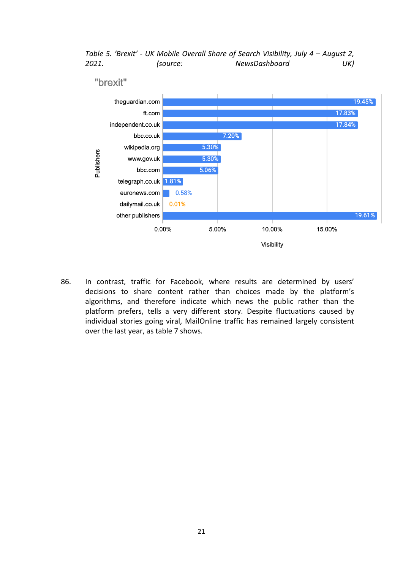*Table 5. 'Brexit' - UK Mobile Overall Share of Search Visibility, July 4 – August 2, 2021. (source: NewsDashboard UK)*



86. In contrast, traffic for Facebook, where results are determined by users' decisions to share content rather than choices made by the platform's algorithms, and therefore indicate which news the public rather than the platform prefers, tells a very different story. Despite fluctuations caused by individual stories going viral, MailOnline traffic has remained largely consistent over the last year, as table 7 shows.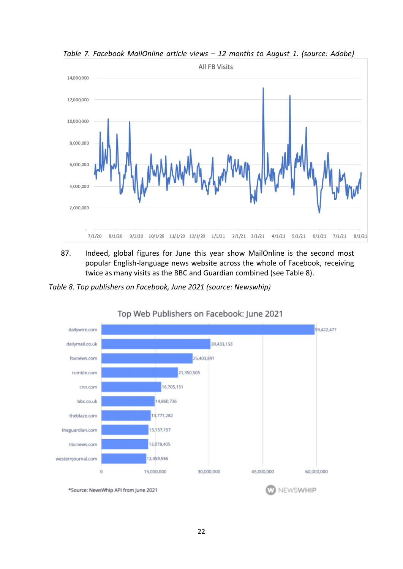

*Table 7. Facebook MailOnline article views – 12 months to August 1. (source: Adobe)*

87. Indeed, global figures for June this year show MailOnline is the second most popular English-language news website across the whole of Facebook, receiving twice as many visits as the BBC and Guardian combined (see Table 8).

*Table 8. Top publishers on Facebook, June 2021 (source: Newswhip)*



# Top Web Publishers on Facebook: June 2021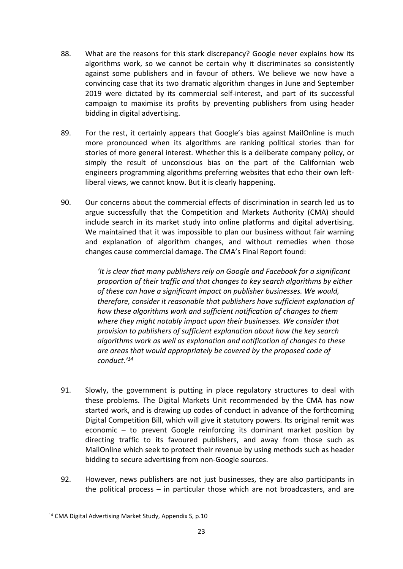- 88. What are the reasons for this stark discrepancy? Google never explains how its algorithms work, so we cannot be certain why it discriminates so consistently against some publishers and in favour of others. We believe we now have a convincing case that its two dramatic algorithm changes in June and September 2019 were dictated by its commercial self-interest, and part of its successful campaign to maximise its profits by preventing publishers from using header bidding in digital advertising.
- 89. For the rest, it certainly appears that Google's bias against MailOnline is much more pronounced when its algorithms are ranking political stories than for stories of more general interest. Whether this is a deliberate company policy, or simply the result of unconscious bias on the part of the Californian web engineers programming algorithms preferring websites that echo their own leftliberal views, we cannot know. But it is clearly happening.
- 90. Our concerns about the commercial effects of discrimination in search led us to argue successfully that the Competition and Markets Authority (CMA) should include search in its market study into online platforms and digital advertising. We maintained that it was impossible to plan our business without fair warning and explanation of algorithm changes, and without remedies when those changes cause commercial damage. The CMA's Final Report found:

*'It is clear that many publishers rely on Google and Facebook for a significant proportion of their traffic and that changes to key search algorithms by either of these can have a significant impact on publisher businesses. We would, therefore, consider it reasonable that publishers have sufficient explanation of how these algorithms work and sufficient notification of changes to them where they might notably impact upon their businesses. We consider that provision to publishers of sufficient explanation about how the key search algorithms work as well as explanation and notification of changes to these are areas that would appropriately be covered by the proposed code of conduct.'<sup>14</sup>*

- 91. Slowly, the government is putting in place regulatory structures to deal with these problems. The Digital Markets Unit recommended by the CMA has now started work, and is drawing up codes of conduct in advance of the forthcoming Digital Competition Bill, which will give it statutory powers. Its original remit was economic – to prevent Google reinforcing its dominant market position by directing traffic to its favoured publishers, and away from those such as MailOnline which seek to protect their revenue by using methods such as header bidding to secure advertising from non-Google sources.
- 92. However, news publishers are not just businesses, they are also participants in the political process – in particular those which are not broadcasters, and are

<sup>14</sup> CMA Digital Advertising Market Study, Appendix S, p.10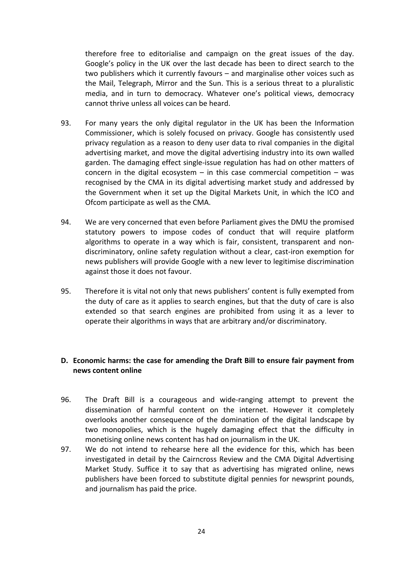therefore free to editorialise and campaign on the great issues of the day. Google's policy in the UK over the last decade has been to direct search to the two publishers which it currently favours – and marginalise other voices such as the Mail, Telegraph, Mirror and the Sun. This is a serious threat to a pluralistic media, and in turn to democracy. Whatever one's political views, democracy cannot thrive unless all voices can be heard.

- 93. For many years the only digital regulator in the UK has been the Information Commissioner, which is solely focused on privacy. Google has consistently used privacy regulation as a reason to deny user data to rival companies in the digital advertising market, and move the digital advertising industry into its own walled garden. The damaging effect single-issue regulation has had on other matters of concern in the digital ecosystem  $-$  in this case commercial competition  $-$  was recognised by the CMA in its digital advertising market study and addressed by the Government when it set up the Digital Markets Unit, in which the ICO and Ofcom participate as well as the CMA.
- 94. We are very concerned that even before Parliament gives the DMU the promised statutory powers to impose codes of conduct that will require platform algorithms to operate in a way which is fair, consistent, transparent and nondiscriminatory, online safety regulation without a clear, cast-iron exemption for news publishers will provide Google with a new lever to legitimise discrimination against those it does not favour.
- 95. Therefore it is vital not only that news publishers' content is fully exempted from the duty of care as it applies to search engines, but that the duty of care is also extended so that search engines are prohibited from using it as a lever to operate their algorithms in ways that are arbitrary and/or discriminatory.

## **D. Economic harms: the case for amending the Draft Bill to ensure fair payment from news content online**

- 96. The Draft Bill is a courageous and wide-ranging attempt to prevent the dissemination of harmful content on the internet. However it completely overlooks another consequence of the domination of the digital landscape by two monopolies, which is the hugely damaging effect that the difficulty in monetising online news content has had on journalism in the UK.
- 97. We do not intend to rehearse here all the evidence for this, which has been investigated in detail by the Cairncross Review and the CMA Digital Advertising Market Study. Suffice it to say that as advertising has migrated online, news publishers have been forced to substitute digital pennies for newsprint pounds, and journalism has paid the price.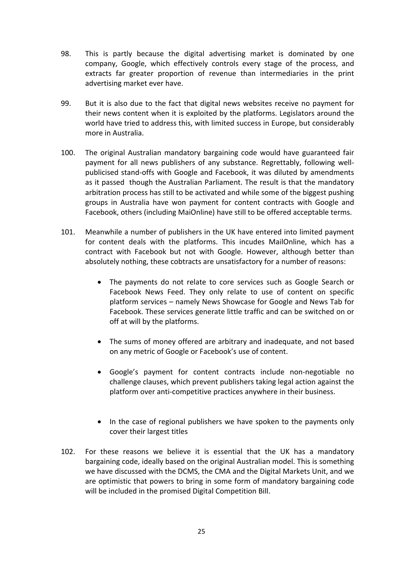- 98. This is partly because the digital advertising market is dominated by one company, Google, which effectively controls every stage of the process, and extracts far greater proportion of revenue than intermediaries in the print advertising market ever have.
- 99. But it is also due to the fact that digital news websites receive no payment for their news content when it is exploited by the platforms. Legislators around the world have tried to address this, with limited success in Europe, but considerably more in Australia.
- 100. The original Australian mandatory bargaining code would have guaranteed fair payment for all news publishers of any substance. Regrettably, following wellpublicised stand-offs with Google and Facebook, it was diluted by amendments as it passed though the Australian Parliament. The result is that the mandatory arbitration process has still to be activated and while some of the biggest pushing groups in Australia have won payment for content contracts with Google and Facebook, others (including MaiOnline) have still to be offered acceptable terms.
- 101. Meanwhile a number of publishers in the UK have entered into limited payment for content deals with the platforms. This incudes MailOnline, which has a contract with Facebook but not with Google. However, although better than absolutely nothing, these cobtracts are unsatisfactory for a number of reasons:
	- The payments do not relate to core services such as Google Search or Facebook News Feed. They only relate to use of content on specific platform services – namely News Showcase for Google and News Tab for Facebook. These services generate little traffic and can be switched on or off at will by the platforms.
	- The sums of money offered are arbitrary and inadequate, and not based on any metric of Google or Facebook's use of content.
	- Google's payment for content contracts include non-negotiable no challenge clauses, which prevent publishers taking legal action against the platform over anti-competitive practices anywhere in their business.
	- In the case of regional publishers we have spoken to the payments only cover their largest titles
- 102. For these reasons we believe it is essential that the UK has a mandatory bargaining code, ideally based on the original Australian model. This is something we have discussed with the DCMS, the CMA and the Digital Markets Unit, and we are optimistic that powers to bring in some form of mandatory bargaining code will be included in the promised Digital Competition Bill.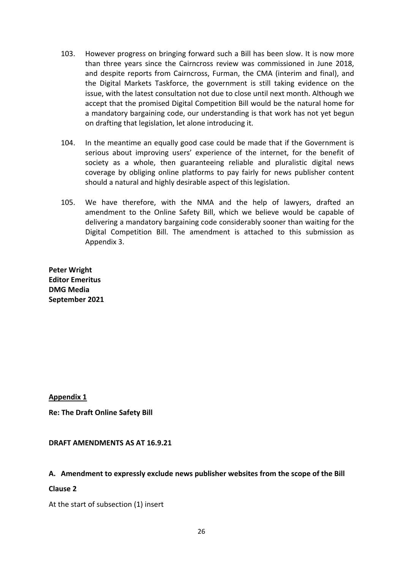- 103. However progress on bringing forward such a Bill has been slow. It is now more than three years since the Cairncross review was commissioned in June 2018, and despite reports from Cairncross, Furman, the CMA (interim and final), and the Digital Markets Taskforce, the government is still taking evidence on the issue, with the latest consultation not due to close until next month. Although we accept that the promised Digital Competition Bill would be the natural home for a mandatory bargaining code, our understanding is that work has not yet begun on drafting that legislation, let alone introducing it.
- 104. In the meantime an equally good case could be made that if the Government is serious about improving users' experience of the internet, for the benefit of society as a whole, then guaranteeing reliable and pluralistic digital news coverage by obliging online platforms to pay fairly for news publisher content should a natural and highly desirable aspect of this legislation.
- 105. We have therefore, with the NMA and the help of lawyers, drafted an amendment to the Online Safety Bill, which we believe would be capable of delivering a mandatory bargaining code considerably sooner than waiting for the Digital Competition Bill. The amendment is attached to this submission as Appendix 3.

**Peter Wright Editor Emeritus DMG Media September 2021**

**Appendix 1**

**Re: The Draft Online Safety Bill**

**DRAFT AMENDMENTS AS AT 16.9.21**

#### **A. Amendment to expressly exclude news publisher websites from the scope of the Bill**

#### **Clause 2**

At the start of subsection (1) insert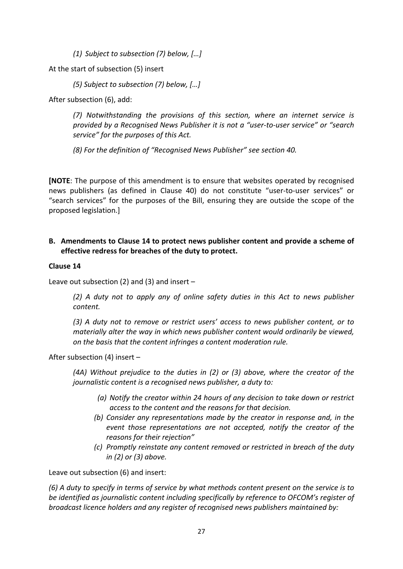*(1) Subject to subsection (7) below, […]*

At the start of subsection (5) insert

*(5) Subject to subsection (7) below, […]*

After subsection (6), add:

*(7) Notwithstanding the provisions of this section, where an internet service is provided by a Recognised News Publisher it is not a "user-to-user service" or "search service" for the purposes of this Act.*

*(8) For the definition of "Recognised News Publisher" see section 40.* 

**[NOTE**: The purpose of this amendment is to ensure that websites operated by recognised news publishers (as defined in Clause 40) do not constitute "user-to-user services" or "search services" for the purposes of the Bill, ensuring they are outside the scope of the proposed legislation.]

## **B. Amendments to Clause 14 to protect news publisher content and provide a scheme of effective redress for breaches of the duty to protect.**

## **Clause 14**

Leave out subsection (2) and (3) and insert  $-$ 

*(2) A duty not to apply any of online safety duties in this Act to news publisher content.*

*(3) A duty not to remove or restrict users' access to news publisher content, or to materially alter the way in which news publisher content would ordinarily be viewed, on the basis that the content infringes a content moderation rule.*

After subsection (4) insert –

*(4A) Without prejudice to the duties in (2) or (3) above, where the creator of the journalistic content is a recognised news publisher, a duty to:*

- *(a) Notify the creator within 24 hours of any decision to take down or restrict access to the content and the reasons for that decision.*
- *(b) Consider any representations made by the creator in response and, in the event those representations are not accepted, notify the creator of the reasons for their rejection"*
- *(c) Promptly reinstate any content removed or restricted in breach of the duty in (2) or (3) above.*

Leave out subsection (6) and insert:

(6) A duty to specify in terms of service by what methods content present on the service is to *be identified as journalistic content including specifically by reference to OFCOM's register of broadcast licence holders and any register of recognised news publishers maintained by:*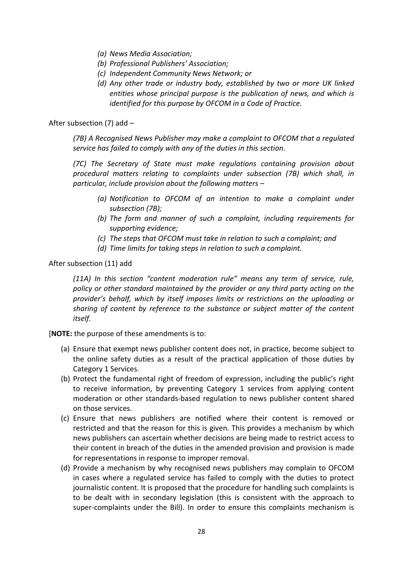- *(a) News Media Association;*
- *(b) Professional Publishers' Association;*
- *(c) Independent Community News Network; or*
- *(d) Any other trade or industry body, established by two or more UK linked entities whose principal purpose is the publication of news, and which is identified for this purpose by OFCOM in a Code of Practice.*

After subsection (7) add –

*(7B) A Recognised News Publisher may make a complaint to OFCOM that a regulated service has failed to comply with any of the duties in this section.*

*(7C) The Secretary of State must make regulations containing provision about procedural matters relating to complaints under subsection (7B) which shall, in particular, include provision about the following matters –*

- *(a) Notification to OFCOM of an intention to make a complaint under subsection (7B);*
- *(b) The form and manner of such a complaint, including requirements for supporting evidence;*
- *(c) The steps that OFCOM must take in relation to such a complaint; and*
- *(d) Time limits for taking steps in relation to such a complaint.*

After subsection (11) add

*(11A) In this section "content moderation rule" means any term of service, rule, policy or other standard maintained by the provider or any third party acting on the provider's behalf, which by itself imposes limits or restrictions on the uploading or sharing of content by reference to the substance or subject matter of the content itself.*

[**NOTE:** the purpose of these amendments is to:

- (a) Ensure that exempt news publisher content does not, in practice, become subject to the online safety duties as a result of the practical application of those duties by Category 1 Services.
- (b) Protect the fundamental right of freedom of expression, including the public's right to receive information, by preventing Category 1 services from applying content moderation or other standards-based regulation to news publisher content shared on those services.
- (c) Ensure that news publishers are notified where their content is removed or restricted and that the reason for this is given. This provides a mechanism by which news publishers can ascertain whether decisions are being made to restrict access to their content in breach of the duties in the amended provision and provision is made for representations in response to improper removal.
- (d) Provide a mechanism by why recognised news publishers may complain to OFCOM in cases where a regulated service has failed to comply with the duties to protect journalistic content. It is proposed that the procedure for handling such complaints is to be dealt with in secondary legislation (this is consistent with the approach to super-complaints under the Bill). In order to ensure this complaints mechanism is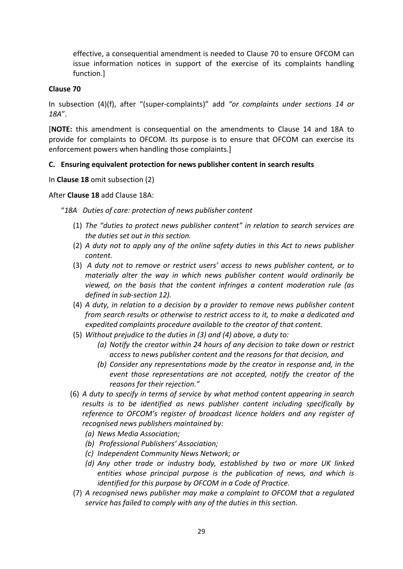effective, a consequential amendment is needed to Clause 70 to ensure OFCOM can issue information notices in support of the exercise of its complaints handling function.]

### **Clause 70**

In subsection (4)(f), after "(super-complaints)" add *"or complaints under sections 14 or 18A*".

[**NOTE:** this amendment is consequential on the amendments to Clause 14 and 18A to provide for complaints to OFCOM. Its purpose is to ensure that OFCOM can exercise its enforcement powers when handling those complaints.]

### **C. Ensuring equivalent protection for news publisher content in search results**

In **Clause 18** omit subsection (2)

### After **Clause 18** add Clause 18A:

"*18A Duties of care: protection of news publisher content*

- (1) *The "duties to protect news publisher content" in relation to search services are the duties set out in this section.*
- (2) *A duty not to apply any of the online safety duties in this Act to news publisher content.*
- (3) *A duty not to remove or restrict users' access to news publisher content, or to materially alter the way in which news publisher content would ordinarily be viewed, on the basis that the content infringes a content moderation rule (as defined in sub-section 12).*
- (4) *A duty, in relation to a decision by a provider to remove news publisher content from search results or otherwise to restrict access to it, to make a dedicated and expedited complaints procedure available to the creator of that content.*
- (5) *Without prejudice to the duties in (3) and (4) above, a duty to:*
	- *(a) Notify the creator within 24 hours of any decision to take down or restrict access to news publisher content and the reasons for that decision, and*
	- *(b) Consider any representations made by the creator in response and, in the event those representations are not accepted, notify the creator of the reasons for their rejection."*
- (6) *A duty to specify in terms of service by what method content appearing in search results is to be identified as news publisher content including specifically by reference to OFCOM's register of broadcast licence holders and any register of recognised news publishers maintained by:*
	- *(a) News Media Association;*
	- *(b) Professional Publishers' Association;*
	- *(c) Independent Community News Network; or*
	- *(d) Any other trade or industry body, established by two or more UK linked entities whose principal purpose is the publication of news, and which is identified for this purpose by OFCOM in a Code of Practice.*
- (7) *A recognised news publisher may make a complaint to OFCOM that a regulated service has failed to comply with any of the duties in this section.*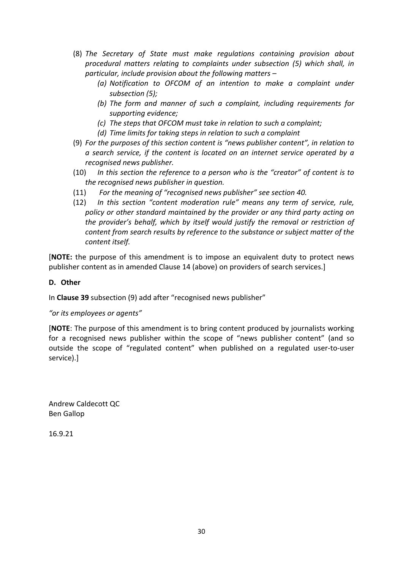- (8) *The Secretary of State must make regulations containing provision about procedural matters relating to complaints under subsection (5) which shall, in particular, include provision about the following matters –*
	- *(a) Notification to OFCOM of an intention to make a complaint under subsection (5);*
	- *(b) The form and manner of such a complaint, including requirements for supporting evidence;*
	- *(c) The steps that OFCOM must take in relation to such a complaint;*
	- *(d) Time limits for taking steps in relation to such a complaint*
- (9) *For the purposes of this section content is "news publisher content", in relation to a search service, if the content is located on an internet service operated by a recognised news publisher.*
- (10) *In this section the reference to a person who is the "creator" of content is to the recognised news publisher in question.*
- (11) *For the meaning of "recognised news publisher" see section 40.*
- (12) *In this section "content moderation rule" means any term of service, rule, policy or other standard maintained by the provider or any third party acting on the provider's behalf, which by itself would justify the removal or restriction of content from search results by reference to the substance or subject matter of the content itself.*

[**NOTE:** the purpose of this amendment is to impose an equivalent duty to protect news publisher content as in amended Clause 14 (above) on providers of search services.]

#### **D. Other**

In **Clause 39** subsection (9) add after "recognised news publisher"

#### *"or its employees or agents"*

[**NOTE**: The purpose of this amendment is to bring content produced by journalists working for a recognised news publisher within the scope of "news publisher content" (and so outside the scope of "regulated content" when published on a regulated user-to-user service).]

Andrew Caldecott QC Ben Gallop

16.9.21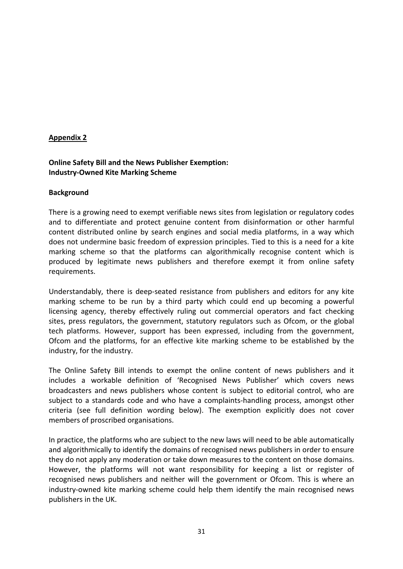### **Appendix 2**

## **Online Safety Bill and the News Publisher Exemption: Industry-Owned Kite Marking Scheme**

#### **Background**

There is a growing need to exempt verifiable news sites from legislation or regulatory codes and to differentiate and protect genuine content from disinformation or other harmful content distributed online by search engines and social media platforms, in a way which does not undermine basic freedom of expression principles. Tied to this is a need for a kite marking scheme so that the platforms can algorithmically recognise content which is produced by legitimate news publishers and therefore exempt it from online safety requirements.

Understandably, there is deep-seated resistance from publishers and editors for any kite marking scheme to be run by a third party which could end up becoming a powerful licensing agency, thereby effectively ruling out commercial operators and fact checking sites, press regulators, the government, statutory regulators such as Ofcom, or the global tech platforms. However, support has been expressed, including from the government, Ofcom and the platforms, for an effective kite marking scheme to be established by the industry, for the industry.

The Online Safety Bill intends to exempt the online content of news publishers and it includes a workable definition of 'Recognised News Publisher' which covers news broadcasters and news publishers whose content is subject to editorial control, who are subject to a standards code and who have a complaints-handling process, amongst other criteria (see full definition wording below). The exemption explicitly does not cover members of proscribed organisations.

In practice, the platforms who are subject to the new laws will need to be able automatically and algorithmically to identify the domains of recognised news publishers in order to ensure they do not apply any moderation or take down measures to the content on those domains. However, the platforms will not want responsibility for keeping a list or register of recognised news publishers and neither will the government or Ofcom. This is where an industry-owned kite marking scheme could help them identify the main recognised news publishers in the UK.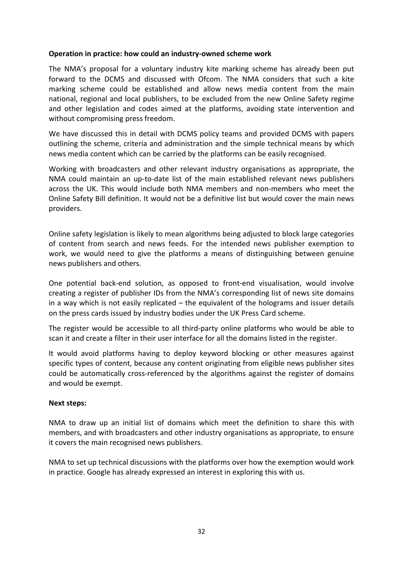### **Operation in practice: how could an industry-owned scheme work**

The NMA's proposal for a voluntary industry kite marking scheme has already been put forward to the DCMS and discussed with Ofcom. The NMA considers that such a kite marking scheme could be established and allow news media content from the main national, regional and local publishers, to be excluded from the new Online Safety regime and other legislation and codes aimed at the platforms, avoiding state intervention and without compromising press freedom.

We have discussed this in detail with DCMS policy teams and provided DCMS with papers outlining the scheme, criteria and administration and the simple technical means by which news media content which can be carried by the platforms can be easily recognised.

Working with broadcasters and other relevant industry organisations as appropriate, the NMA could maintain an up-to-date list of the main established relevant news publishers across the UK. This would include both NMA members and non-members who meet the Online Safety Bill definition. It would not be a definitive list but would cover the main news providers.

Online safety legislation is likely to mean algorithms being adjusted to block large categories of content from search and news feeds. For the intended news publisher exemption to work, we would need to give the platforms a means of distinguishing between genuine news publishers and others.

One potential back-end solution, as opposed to front-end visualisation, would involve creating a register of publisher IDs from the NMA's corresponding list of news site domains in a way which is not easily replicated – the equivalent of the holograms and issuer details on the press cards issued by industry bodies under the UK Press Card scheme.

The register would be accessible to all third-party online platforms who would be able to scan it and create a filter in their user interface for all the domains listed in the register.

It would avoid platforms having to deploy keyword blocking or other measures against specific types of content, because any content originating from eligible news publisher sites could be automatically cross-referenced by the algorithms against the register of domains and would be exempt.

#### **Next steps:**

NMA to draw up an initial list of domains which meet the definition to share this with members, and with broadcasters and other industry organisations as appropriate, to ensure it covers the main recognised news publishers.

NMA to set up technical discussions with the platforms over how the exemption would work in practice. Google has already expressed an interest in exploring this with us.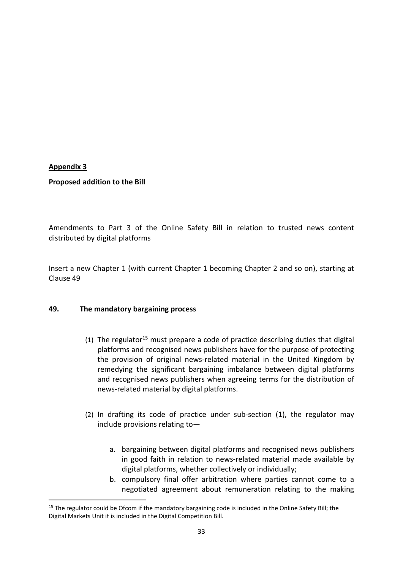### **Appendix 3**

### **Proposed addition to the Bill**

Amendments to Part 3 of the Online Safety Bill in relation to trusted news content distributed by digital platforms

Insert a new Chapter 1 (with current Chapter 1 becoming Chapter 2 and so on), starting at Clause 49

#### **49. The mandatory bargaining process**

- (1) The regulator<sup>15</sup> must prepare a code of practice describing duties that digital platforms and recognised news publishers have for the purpose of protecting the provision of original news-related material in the United Kingdom by remedying the significant bargaining imbalance between digital platforms and recognised news publishers when agreeing terms for the distribution of news-related material by digital platforms.
- (2) In drafting its code of practice under sub-section (1), the regulator may include provisions relating to
	- a. bargaining between digital platforms and recognised news publishers in good faith in relation to news-related material made available by digital platforms, whether collectively or individually;
	- b. compulsory final offer arbitration where parties cannot come to a negotiated agreement about remuneration relating to the making

<sup>&</sup>lt;sup>15</sup> The regulator could be Ofcom if the mandatory bargaining code is included in the Online Safety Bill; the Digital Markets Unit it is included in the Digital Competition Bill.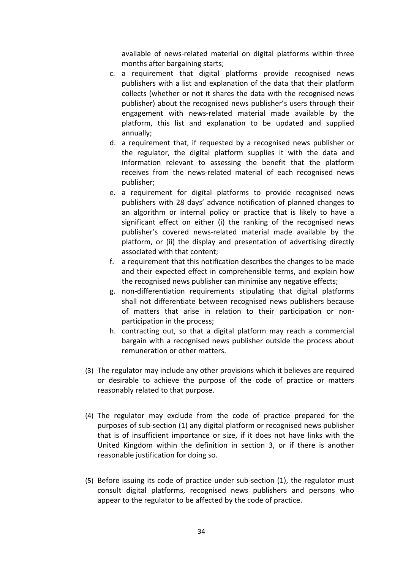available of news-related material on digital platforms within three months after bargaining starts;

- c. a requirement that digital platforms provide recognised news publishers with a list and explanation of the data that their platform collects (whether or not it shares the data with the recognised news publisher) about the recognised news publisher's users through their engagement with news-related material made available by the platform, this list and explanation to be updated and supplied annually;
- d. a requirement that, if requested by a recognised news publisher or the regulator, the digital platform supplies it with the data and information relevant to assessing the benefit that the platform receives from the news-related material of each recognised news publisher;
- e. a requirement for digital platforms to provide recognised news publishers with 28 days' advance notification of planned changes to an algorithm or internal policy or practice that is likely to have a significant effect on either (i) the ranking of the recognised news publisher's covered news-related material made available by the platform, or (ii) the display and presentation of advertising directly associated with that content;
- f. a requirement that this notification describes the changes to be made and their expected effect in comprehensible terms, and explain how the recognised news publisher can minimise any negative effects;
- g. non-differentiation requirements stipulating that digital platforms shall not differentiate between recognised news publishers because of matters that arise in relation to their participation or nonparticipation in the process;
- h. contracting out, so that a digital platform may reach a commercial bargain with a recognised news publisher outside the process about remuneration or other matters.
- (3) The regulator may include any other provisions which it believes are required or desirable to achieve the purpose of the code of practice or matters reasonably related to that purpose.
- (4) The regulator may exclude from the code of practice prepared for the purposes of sub-section (1) any digital platform or recognised news publisher that is of insufficient importance or size, if it does not have links with the United Kingdom within the definition in section 3, or if there is another reasonable justification for doing so.
- (5) Before issuing its code of practice under sub-section (1), the regulator must consult digital platforms, recognised news publishers and persons who appear to the regulator to be affected by the code of practice.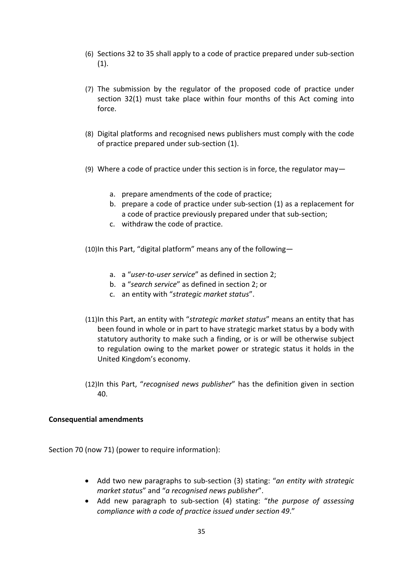- (6) Sections 32 to 35 shall apply to a code of practice prepared under sub-section (1).
- (7) The submission by the regulator of the proposed code of practice under section 32(1) must take place within four months of this Act coming into force.
- (8) Digital platforms and recognised news publishers must comply with the code of practice prepared under sub-section (1).
- (9) Where a code of practice under this section is in force, the regulator may
	- a. prepare amendments of the code of practice;
	- b. prepare a code of practice under sub-section (1) as a replacement for a code of practice previously prepared under that sub-section;
	- c. withdraw the code of practice.

(10)In this Part, "digital platform" means any of the following—

- a. a "*user-to-user service*" as defined in section 2;
- b. a "*search service*" as defined in section 2; or
- c. an entity with "*strategic market status*".
- (11)In this Part, an entity with "*strategic market status*" means an entity that has been found in whole or in part to have strategic market status by a body with statutory authority to make such a finding, or is or will be otherwise subject to regulation owing to the market power or strategic status it holds in the United Kingdom's economy.
- (12)In this Part, "*recognised news publisher*" has the definition given in section 40.

#### **Consequential amendments**

Section 70 (now 71) (power to require information):

- Add two new paragraphs to sub-section (3) stating: "*an entity with strategic market status*" and "*a recognised news publisher*".
- Add new paragraph to sub-section (4) stating: "*the purpose of assessing compliance with a code of practice issued under section 49*."